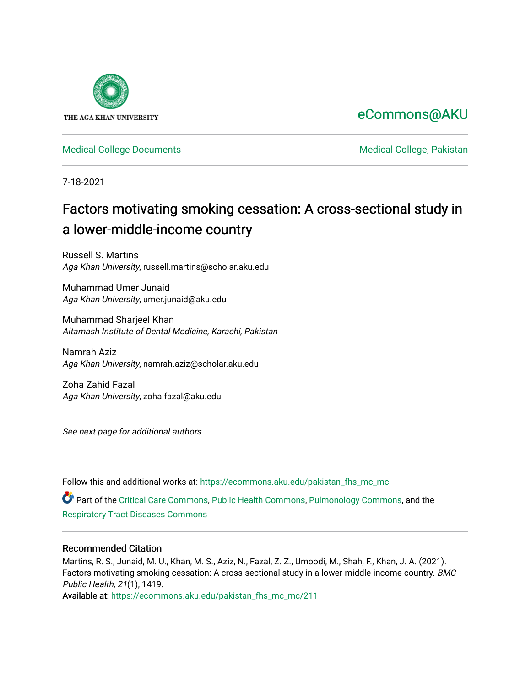

## [eCommons@AKU](https://ecommons.aku.edu/)

[Medical College Documents](https://ecommons.aku.edu/pakistan_fhs_mc_mc) **Medical College, Pakistan** 

7-18-2021

# Factors motivating smoking cessation: A cross-sectional study in a lower-middle-income country

Russell S. Martins Aga Khan University, russell.martins@scholar.aku.edu

Muhammad Umer Junaid Aga Khan University, umer.junaid@aku.edu

Muhammad Sharjeel Khan Altamash Institute of Dental Medicine, Karachi, Pakistan

Namrah Aziz Aga Khan University, namrah.aziz@scholar.aku.edu

Zoha Zahid Fazal Aga Khan University, zoha.fazal@aku.edu

See next page for additional authors

Follow this and additional works at: [https://ecommons.aku.edu/pakistan\\_fhs\\_mc\\_mc](https://ecommons.aku.edu/pakistan_fhs_mc_mc?utm_source=ecommons.aku.edu%2Fpakistan_fhs_mc_mc%2F211&utm_medium=PDF&utm_campaign=PDFCoverPages) 

Part of the [Critical Care Commons,](http://network.bepress.com/hgg/discipline/1226?utm_source=ecommons.aku.edu%2Fpakistan_fhs_mc_mc%2F211&utm_medium=PDF&utm_campaign=PDFCoverPages) [Public Health Commons](http://network.bepress.com/hgg/discipline/738?utm_source=ecommons.aku.edu%2Fpakistan_fhs_mc_mc%2F211&utm_medium=PDF&utm_campaign=PDFCoverPages), [Pulmonology Commons](http://network.bepress.com/hgg/discipline/1363?utm_source=ecommons.aku.edu%2Fpakistan_fhs_mc_mc%2F211&utm_medium=PDF&utm_campaign=PDFCoverPages), and the [Respiratory Tract Diseases Commons](http://network.bepress.com/hgg/discipline/990?utm_source=ecommons.aku.edu%2Fpakistan_fhs_mc_mc%2F211&utm_medium=PDF&utm_campaign=PDFCoverPages) 

## Recommended Citation

Martins, R. S., Junaid, M. U., Khan, M. S., Aziz, N., Fazal, Z. Z., Umoodi, M., Shah, F., Khan, J. A. (2021). Factors motivating smoking cessation: A cross-sectional study in a lower-middle-income country. BMC Public Health, 21(1), 1419.

Available at: [https://ecommons.aku.edu/pakistan\\_fhs\\_mc\\_mc/211](https://ecommons.aku.edu/pakistan_fhs_mc_mc/211)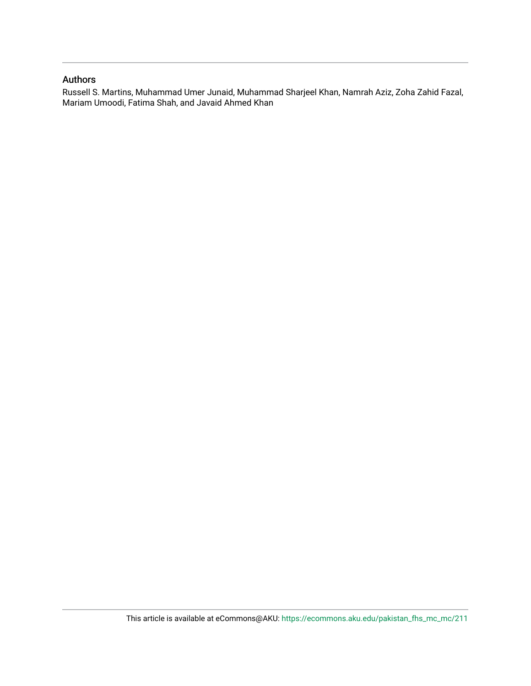## Authors

Russell S. Martins, Muhammad Umer Junaid, Muhammad Sharjeel Khan, Namrah Aziz, Zoha Zahid Fazal, Mariam Umoodi, Fatima Shah, and Javaid Ahmed Khan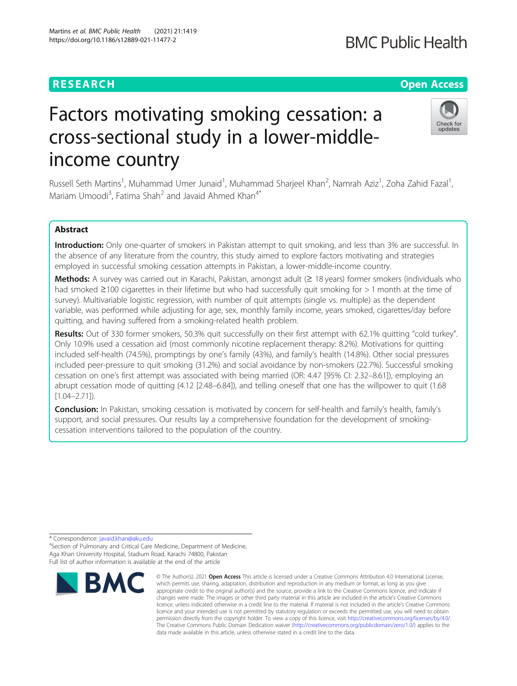## **RESEARCH CHE Open Access**

# Factors motivating smoking cessation: a cross-sectional study in a lower-middleincome country

Russell Seth Martins<sup>1</sup>, Muhammad Umer Junaid<sup>1</sup>, Muhammad Sharjeel Khan<sup>2</sup>, Namrah Aziz<sup>1</sup>, Zoha Zahid Fazal<sup>1</sup> , Mariam Umoodi<sup>3</sup>, Fatima Shah<sup>2</sup> and Javaid Ahmed Khan<sup>4\*</sup>

## Abstract

Introduction: Only one-quarter of smokers in Pakistan attempt to quit smoking, and less than 3% are successful. In the absence of any literature from the country, this study aimed to explore factors motivating and strategies employed in successful smoking cessation attempts in Pakistan, a lower-middle-income country.

Methods: A survey was carried out in Karachi, Pakistan, amongst adult (≥ 18 years) former smokers (individuals who had smoked ≥100 cigarettes in their lifetime but who had successfully quit smoking for > 1 month at the time of survey). Multivariable logistic regression, with number of quit attempts (single vs. multiple) as the dependent variable, was performed while adjusting for age, sex, monthly family income, years smoked, cigarettes/day before quitting, and having suffered from a smoking-related health problem.

Results: Out of 330 former smokers, 50.3% quit successfully on their first attempt with 62.1% quitting "cold turkey". Only 10.9% used a cessation aid (most commonly nicotine replacement therapy: 8.2%). Motivations for quitting included self-health (74.5%), promptings by one's family (43%), and family's health (14.8%). Other social pressures included peer-pressure to quit smoking (31.2%) and social avoidance by non-smokers (22.7%). Successful smoking cessation on one's first attempt was associated with being married (OR: 4.47 [95% CI: 2.32–8.61]), employing an abrupt cessation mode of quitting (4.12 [2.48–6.84]), and telling oneself that one has the willpower to quit (1.68  $[1.04 - 2.71]$ .

Conclusion: In Pakistan, smoking cessation is motivated by concern for self-health and family's health, family's support, and social pressures. Our results lay a comprehensive foundation for the development of smokingcessation interventions tailored to the population of the country.

\* Correspondence: [javaid.khan@aku.edu](mailto:javaid.khan@aku.edu) <sup>4</sup>

<sup>4</sup>Section of Pulmonary and Critical Care Medicine, Department of Medicine, Aga Khan University Hospital, Stadium Road, Karachi 74800, Pakistan Full list of author information is available at the end of the article



**BMC Public Health** 





<sup>©</sup> The Author(s), 2021 **Open Access** This article is licensed under a Creative Commons Attribution 4.0 International License, which permits use, sharing, adaptation, distribution and reproduction in any medium or format, as long as you give appropriate credit to the original author(s) and the source, provide a link to the Creative Commons licence, and indicate if changes were made. The images or other third party material in this article are included in the article's Creative Commons licence, unless indicated otherwise in a credit line to the material. If material is not included in the article's Creative Commons licence and your intended use is not permitted by statutory regulation or exceeds the permitted use, you will need to obtain permission directly from the copyright holder. To view a copy of this licence, visit [http://creativecommons.org/licenses/by/4.0/.](http://creativecommons.org/licenses/by/4.0/) The Creative Commons Public Domain Dedication waiver [\(http://creativecommons.org/publicdomain/zero/1.0/](http://creativecommons.org/publicdomain/zero/1.0/)) applies to the data made available in this article, unless otherwise stated in a credit line to the data.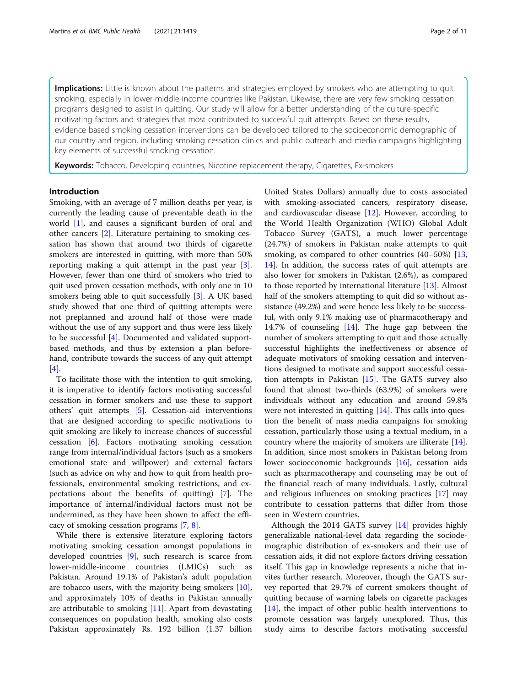Implications: Little is known about the patterns and strategies employed by smokers who are attempting to quit smoking, especially in lower-middle-income countries like Pakistan. Likewise, there are very few smoking cessation programs designed to assist in quitting. Our study will allow for a better understanding of the culture-specific motivating factors and strategies that most contributed to successful quit attempts. Based on these results, evidence based smoking cessation interventions can be developed tailored to the socioeconomic demographic of our country and region, including smoking cessation clinics and public outreach and media campaigns highlighting key elements of successful smoking cessation.

Keywords: Tobacco, Developing countries, Nicotine replacement therapy, Cigarettes, Ex-smokers

## Introduction

Smoking, with an average of 7 million deaths per year, is currently the leading cause of preventable death in the world [[1\]](#page-12-0), and causes a significant burden of oral and other cancers [[2\]](#page-12-0). Literature pertaining to smoking cessation has shown that around two thirds of cigarette smokers are interested in quitting, with more than 50% reporting making a quit attempt in the past year [\[3](#page-12-0)]. However, fewer than one third of smokers who tried to quit used proven cessation methods, with only one in 10 smokers being able to quit successfully [[3\]](#page-12-0). A UK based study showed that one third of quitting attempts were not preplanned and around half of those were made without the use of any support and thus were less likely to be successful [[4\]](#page-12-0). Documented and validated supportbased methods, and thus by extension a plan beforehand, contribute towards the success of any quit attempt [[4\]](#page-12-0).

To facilitate those with the intention to quit smoking, it is imperative to identify factors motivating successful cessation in former smokers and use these to support others' quit attempts [[5\]](#page-12-0). Cessation-aid interventions that are designed according to specific motivations to quit smoking are likely to increase chances of successful cessation [[6](#page-12-0)]. Factors motivating smoking cessation range from internal/individual factors (such as a smokers emotional state and willpower) and external factors (such as advice on why and how to quit from health professionals, environmental smoking restrictions, and expectations about the benefits of quitting) [[7\]](#page-12-0). The importance of internal/individual factors must not be undermined, as they have been shown to affect the efficacy of smoking cessation programs [[7](#page-12-0), [8](#page-12-0)].

While there is extensive literature exploring factors motivating smoking cessation amongst populations in developed countries [\[9](#page-12-0)], such research is scarce from lower-middle-income countries (LMICs) such as Pakistan. Around 19.1% of Pakistan's adult population are tobacco users, with the majority being smokers [\[10](#page-12-0)], and approximately 10% of deaths in Pakistan annually are attributable to smoking [\[11\]](#page-12-0). Apart from devastating consequences on population health, smoking also costs Pakistan approximately Rs. 192 billion (1.37 billion United States Dollars) annually due to costs associated with smoking-associated cancers, respiratory disease, and cardiovascular disease [\[12](#page-12-0)]. However, according to the World Health Organization (WHO) Global Adult Tobacco Survey (GATS), a much lower percentage (24.7%) of smokers in Pakistan make attempts to quit smoking, as compared to other countries (40–50%) [[13](#page-12-0), [14\]](#page-12-0). In addition, the success rates of quit attempts are also lower for smokers in Pakistan (2.6%), as compared to those reported by international literature [[13](#page-12-0)]. Almost half of the smokers attempting to quit did so without assistance (49.2%) and were hence less likely to be successful, with only 9.1% making use of pharmacotherapy and 14.7% of counseling [\[14](#page-12-0)]. The huge gap between the number of smokers attempting to quit and those actually successful highlights the ineffectiveness or absence of adequate motivators of smoking cessation and interventions designed to motivate and support successful cessation attempts in Pakistan  $[15]$  $[15]$  $[15]$ . The GATS survey also found that almost two-thirds (63.9%) of smokers were individuals without any education and around 59.8% were not interested in quitting [[14](#page-12-0)]. This calls into question the benefit of mass media campaigns for smoking cessation, particularly those using a textual medium, in a country where the majority of smokers are illiterate [\[14](#page-12-0)]. In addition, since most smokers in Pakistan belong from lower socioeconomic backgrounds [\[16](#page-12-0)], cessation aids such as pharmacotherapy and counseling may be out of the financial reach of many individuals. Lastly, cultural and religious influences on smoking practices [[17](#page-12-0)] may contribute to cessation patterns that differ from those seen in Western countries.

Although the 2014 GATS survey [\[14](#page-12-0)] provides highly generalizable national-level data regarding the sociodemographic distribution of ex-smokers and their use of cessation aids, it did not explore factors driving cessation itself. This gap in knowledge represents a niche that invites further research. Moreover, though the GATS survey reported that 29.7% of current smokers thought of quitting because of warning labels on cigarette packages [[14\]](#page-12-0), the impact of other public health interventions to promote cessation was largely unexplored. Thus, this study aims to describe factors motivating successful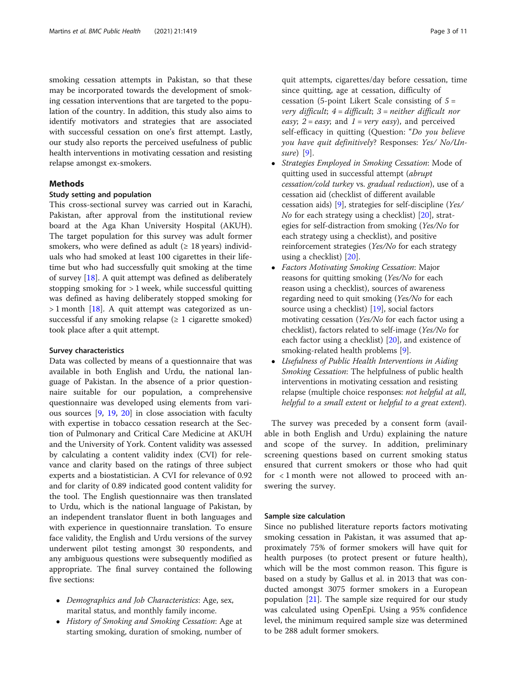smoking cessation attempts in Pakistan, so that these may be incorporated towards the development of smoking cessation interventions that are targeted to the population of the country. In addition, this study also aims to identify motivators and strategies that are associated with successful cessation on one's first attempt. Lastly, our study also reports the perceived usefulness of public health interventions in motivating cessation and resisting relapse amongst ex-smokers.

## Methods

## Study setting and population

This cross-sectional survey was carried out in Karachi, Pakistan, after approval from the institutional review board at the Aga Khan University Hospital (AKUH). The target population for this survey was adult former smokers, who were defined as adult ( $\geq 18$  years) individuals who had smoked at least 100 cigarettes in their lifetime but who had successfully quit smoking at the time of survey [[18\]](#page-12-0). A quit attempt was defined as deliberately stopping smoking for  $> 1$  week, while successful quitting was defined as having deliberately stopped smoking for  $> 1$  month [[18](#page-12-0)]. A quit attempt was categorized as unsuccessful if any smoking relapse  $(≥ 1$  cigarette smoked) took place after a quit attempt.

## Survey characteristics

Data was collected by means of a questionnaire that was available in both English and Urdu, the national language of Pakistan. In the absence of a prior questionnaire suitable for our population, a comprehensive questionnaire was developed using elements from various sources [[9](#page-12-0), [19](#page-12-0), [20](#page-12-0)] in close association with faculty with expertise in tobacco cessation research at the Section of Pulmonary and Critical Care Medicine at AKUH and the University of York. Content validity was assessed by calculating a content validity index (CVI) for relevance and clarity based on the ratings of three subject experts and a biostatistician. A CVI for relevance of 0.92 and for clarity of 0.89 indicated good content validity for the tool. The English questionnaire was then translated to Urdu, which is the national language of Pakistan, by an independent translator fluent in both languages and with experience in questionnaire translation. To ensure face validity, the English and Urdu versions of the survey underwent pilot testing amongst 30 respondents, and any ambiguous questions were subsequently modified as appropriate. The final survey contained the following five sections:

- Demographics and Job Characteristics: Age, sex, marital status, and monthly family income.
- History of Smoking and Smoking Cessation: Age at starting smoking, duration of smoking, number of

quit attempts, cigarettes/day before cessation, time since quitting, age at cessation, difficulty of cessation (5-point Likert Scale consisting of  $5 =$ very difficult;  $4 =$  difficult;  $3 =$  neither difficult nor easy;  $2 = easy$ ; and  $1 = very easy$ ), and perceived self-efficacy in quitting (Question: "Do you believe you have quit definitively? Responses: Yes/ No/Unsure) [[9\]](#page-12-0).

- Strategies Employed in Smoking Cessation: Mode of quitting used in successful attempt (abrupt cessation/cold turkey vs. gradual reduction), use of a cessation aid (checklist of different available cessation aids) [[9\]](#page-12-0), strategies for self-discipline (Yes/ No for each strategy using a checklist)  $[20]$  $[20]$  $[20]$ , strategies for self-distraction from smoking (Yes/No for each strategy using a checklist), and positive reinforcement strategies (Yes/No for each strategy using a checklist) [\[20\]](#page-12-0).
- Factors Motivating Smoking Cessation: Major reasons for quitting smoking (Yes/No for each reason using a checklist), sources of awareness regarding need to quit smoking (Yes/No for each source using a checklist) [[19](#page-12-0)], social factors motivating cessation (Yes/No for each factor using a checklist), factors related to self-image (Yes/No for each factor using a checklist) [[20](#page-12-0)], and existence of smoking-related health problems [[9](#page-12-0)].
- Usefulness of Public Health Interventions in Aiding Smoking Cessation: The helpfulness of public health interventions in motivating cessation and resisting relapse (multiple choice responses: not helpful at all, helpful to a small extent or helpful to a great extent).

The survey was preceded by a consent form (available in both English and Urdu) explaining the nature and scope of the survey. In addition, preliminary screening questions based on current smoking status ensured that current smokers or those who had quit for < 1 month were not allowed to proceed with answering the survey.

## Sample size calculation

Since no published literature reports factors motivating smoking cessation in Pakistan, it was assumed that approximately 75% of former smokers will have quit for health purposes (to protect present or future health), which will be the most common reason. This figure is based on a study by Gallus et al. in 2013 that was conducted amongst 3075 former smokers in a European population [[21](#page-12-0)]. The sample size required for our study was calculated using OpenEpi. Using a 95% confidence level, the minimum required sample size was determined to be 288 adult former smokers.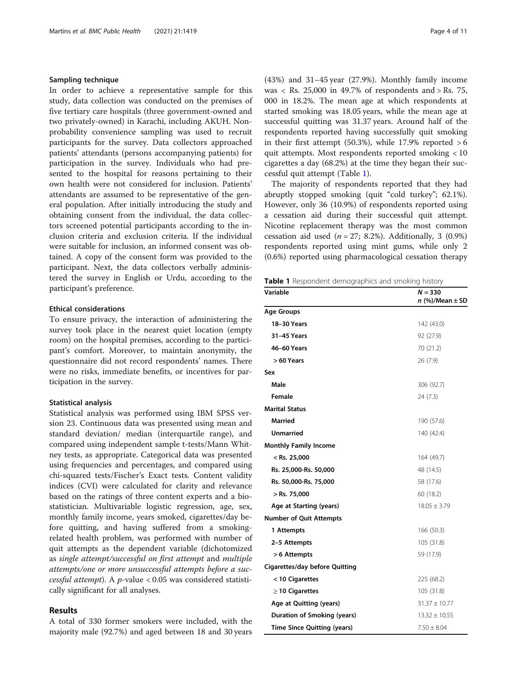## Sampling technique

In order to achieve a representative sample for this study, data collection was conducted on the premises of five tertiary care hospitals (three government-owned and two privately-owned) in Karachi, including AKUH. Nonprobability convenience sampling was used to recruit participants for the survey. Data collectors approached patients' attendants (persons accompanying patients) for participation in the survey. Individuals who had presented to the hospital for reasons pertaining to their own health were not considered for inclusion. Patients' attendants are assumed to be representative of the general population. After initially introducing the study and obtaining consent from the individual, the data collectors screened potential participants according to the inclusion criteria and exclusion criteria. If the individual were suitable for inclusion, an informed consent was obtained. A copy of the consent form was provided to the participant. Next, the data collectors verbally administered the survey in English or Urdu, according to the participant's preference.

## Ethical considerations

To ensure privacy, the interaction of administering the survey took place in the nearest quiet location (empty room) on the hospital premises, according to the participant's comfort. Moreover, to maintain anonymity, the questionnaire did not record respondents' names. There were no risks, immediate benefits, or incentives for participation in the survey.

## Statistical analysis

Statistical analysis was performed using IBM SPSS version 23. Continuous data was presented using mean and standard deviation/ median (interquartile range), and compared using independent sample t-tests/Mann Whitney tests, as appropriate. Categorical data was presented using frequencies and percentages, and compared using chi-squared tests/Fischer's Exact tests. Content validity indices (CVI) were calculated for clarity and relevance based on the ratings of three content experts and a biostatistician. Multivariable logistic regression, age, sex, monthly family income, years smoked, cigarettes/day before quitting, and having suffered from a smokingrelated health problem, was performed with number of quit attempts as the dependent variable (dichotomized as single attempt/successful on first attempt and multiple attempts/one or more unsuccessful attempts before a suc- $\frac{1}{\epsilon}$ <br>cessful attempt). A p-value < 0.05 was considered statisti-<br>cally significant for all analyses cally significant for all analyses.

## Results

A total of 330 former smokers were included, with the majority male (92.7%) and aged between 18 and 30 years (43%) and 31–45 year (27.9%). Monthly family income was < Rs. 25,000 in 49.7% of respondents and > Rs. 75, 000 in 18.2%. The mean age at which respondents at started smoking was 18.05 years, while the mean age at successful quitting was 31.37 years. Around half of the respondents reported having successfully quit smoking in their first attempt (50.3%), while  $17.9\%$  reported  $>6$ quit attempts. Most respondents reported smoking < 10 cigarettes a day (68.2%) at the time they began their successful quit attempt (Table 1).

The majority of respondents reported that they had abruptly stopped smoking (quit "cold turkey"; 62.1%). However, only 36 (10.9%) of respondents reported using a cessation aid during their successful quit attempt. Nicotine replacement therapy was the most common cessation aid used  $(n = 27; 8.2%)$ . Additionally, 3 (0.9%) respondents reported using mint gums, while only 2 (0.6%) reported using pharmacological cessation therapy

|  | Table 1 Respondent demographics and smoking history |  |  |
|--|-----------------------------------------------------|--|--|
|  |                                                     |  |  |

| Variable                              | $N = 330$<br>$n$ (%)/Mean $\pm$ SD |
|---------------------------------------|------------------------------------|
| Age Groups                            |                                    |
| 18-30 Years                           | 142 (43.0)                         |
| 31-45 Years                           | 92 (27.9)                          |
| 46-60 Years                           | 70 (21.2)                          |
| > 60 Years                            | 26 (7.9)                           |
| Sex                                   |                                    |
| Male                                  | 306 (92.7)                         |
| Female                                | 24(7.3)                            |
| <b>Marital Status</b>                 |                                    |
| Married                               | 190 (57.6)                         |
| <b>Unmarried</b>                      | 140 (42.4)                         |
| <b>Monthly Family Income</b>          |                                    |
| $<$ Rs. 25,000                        | 164 (49.7)                         |
| Rs. 25,000-Rs. 50,000                 | 48 (14.5)                          |
| Rs. 50,000-Rs. 75,000                 | 58 (17.6)                          |
| $>$ Rs. 75,000                        | 60 (18.2)                          |
| Age at Starting (years)               | $18.05 \pm 3.79$                   |
| <b>Number of Quit Attempts</b>        |                                    |
| 1 Attempts                            | 166 (50.3)                         |
| 2-5 Attempts                          | 105 (31.8)                         |
| > 6 Attempts                          | 59 (17.9)                          |
| <b>Cigarettes/day before Quitting</b> |                                    |
| < 10 Cigarettes                       | 225 (68.2)                         |
| $\geq$ 10 Cigarettes                  | 105 (31.8)                         |
| Age at Quitting (years)               | $31.37 \pm 10.77$                  |
| Duration of Smoking (years)           | $13.32 \pm 10.55$                  |
| <b>Time Since Quitting (years)</b>    | $7.50 \pm 8.04$                    |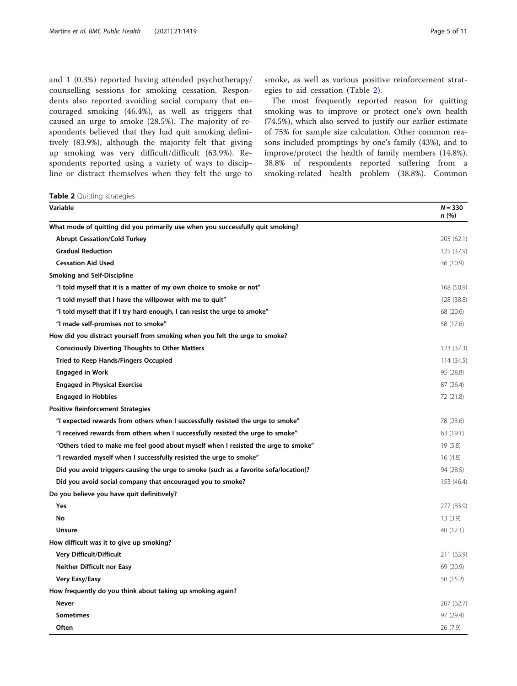and 1 (0.3%) reported having attended psychotherapy/ counselling sessions for smoking cessation. Respondents also reported avoiding social company that encouraged smoking (46.4%), as well as triggers that caused an urge to smoke (28.5%). The majority of respondents believed that they had quit smoking definitively (83.9%), although the majority felt that giving up smoking was very difficult/difficult (63.9%). Respondents reported using a variety of ways to discipline or distract themselves when they felt the urge to

Table 2 Quitting strategies

The most frequently reported reason for quitting smoking was to improve or protect one's own health (74.5%), which also served to justify our earlier estimate of 75% for sample size calculation. Other common rea-

sons included promptings by one's family (43%), and to improve/protect the health of family members (14.8%). 38.8% of respondents reported suffering from a smoking-related health problem (38.8%). Common

smoke, as well as various positive reinforcement strat-

egies to aid cessation (Table 2).

| Variable                                                                             | $N = 330$<br>n(%) |
|--------------------------------------------------------------------------------------|-------------------|
| What mode of quitting did you primarily use when you successfully quit smoking?      |                   |
| <b>Abrupt Cessation/Cold Turkey</b>                                                  | 205 (62.1)        |
| <b>Gradual Reduction</b>                                                             | 125 (37.9)        |
| <b>Cessation Aid Used</b>                                                            | 36 (10.9)         |
| <b>Smoking and Self-Discipline</b>                                                   |                   |
| "I told myself that it is a matter of my own choice to smoke or not"                 | 168 (50.9)        |
| "I told myself that I have the willpower with me to quit"                            | 128 (38.8)        |
| "I told myself that if I try hard enough, I can resist the urge to smoke"            | 68 (20.6)         |
| "I made self-promises not to smoke"                                                  | 58 (17.6)         |
| How did you distract yourself from smoking when you felt the urge to smoke?          |                   |
| <b>Consciously Diverting Thoughts to Other Matters</b>                               | 123 (37.3)        |
| Tried to Keep Hands/Fingers Occupied                                                 | 114 (34.5)        |
| <b>Engaged in Work</b>                                                               | 95 (28.8)         |
| <b>Engaged in Physical Exercise</b>                                                  | 87 (26.4)         |
| <b>Engaged in Hobbies</b>                                                            | 72 (21.8)         |
| <b>Positive Reinforcement Strategies</b>                                             |                   |
| "I expected rewards from others when I successfully resisted the urge to smoke"      | 78 (23.6)         |
| "I received rewards from others when I successfully resisted the urge to smoke"      | 63 (19.1)         |
| "Others tried to make me feel good about myself when I resisted the urge to smoke"   | 19(5.8)           |
| "I rewarded myself when I successfully resisted the urge to smoke"                   | 16(4.8)           |
| Did you avoid triggers causing the urge to smoke (such as a favorite sofa/location)? | 94 (28.5)         |
| Did you avoid social company that encouraged you to smoke?                           | 153 (46.4)        |
| Do you believe you have quit definitively?                                           |                   |
| Yes                                                                                  | 277 (83.9)        |
| No                                                                                   | 13(3.9)           |
| <b>Unsure</b>                                                                        | 40 (12.1)         |
| How difficult was it to give up smoking?                                             |                   |
| Very Difficult/Difficult                                                             | 211 (63.9)        |
| <b>Neither Difficult nor Easy</b>                                                    | 69 (20.9)         |
| Very Easy/Easy                                                                       | 50 (15.2)         |
| How frequently do you think about taking up smoking again?                           |                   |
| <b>Never</b>                                                                         | 207 (62.7)        |
| <b>Sometimes</b>                                                                     | 97 (29.4)         |
| Often                                                                                | 26 (7.9)          |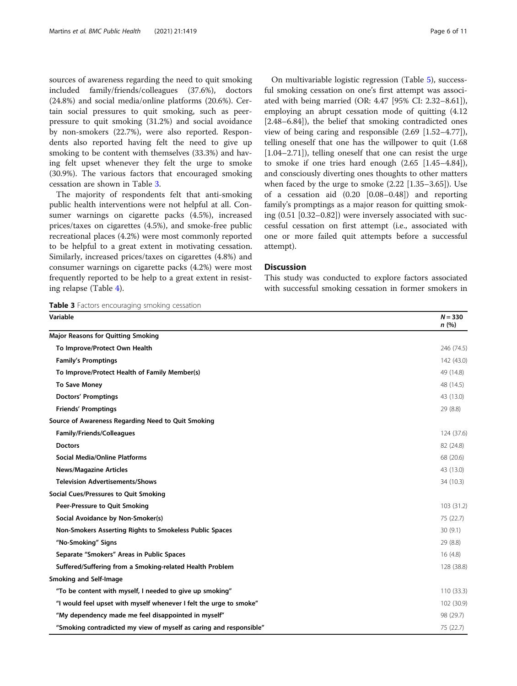sources of awareness regarding the need to quit smoking included family/friends/colleagues (37.6%), doctors (24.8%) and social media/online platforms (20.6%). Certain social pressures to quit smoking, such as peerpressure to quit smoking (31.2%) and social avoidance by non-smokers (22.7%), were also reported. Respondents also reported having felt the need to give up smoking to be content with themselves (33.3%) and having felt upset whenever they felt the urge to smoke (30.9%). The various factors that encouraged smoking cessation are shown in Table 3.

The majority of respondents felt that anti-smoking public health interventions were not helpful at all. Consumer warnings on cigarette packs (4.5%), increased prices/taxes on cigarettes (4.5%), and smoke-free public recreational places (4.2%) were most commonly reported to be helpful to a great extent in motivating cessation. Similarly, increased prices/taxes on cigarettes (4.8%) and consumer warnings on cigarette packs (4.2%) were most frequently reported to be help to a great extent in resisting relapse (Table [4\)](#page-8-0).

Table 3 Factors encouraging smoking cessation

On multivariable logistic regression (Table [5\)](#page-9-0), successful smoking cessation on one's first attempt was associated with being married (OR: 4.47 [95% CI: 2.32–8.61]), employing an abrupt cessation mode of quitting (4.12 [2.48–6.84]), the belief that smoking contradicted ones view of being caring and responsible (2.69 [1.52–4.77]), telling oneself that one has the willpower to quit (1.68 [1.04–2.71]), telling oneself that one can resist the urge to smoke if one tries hard enough (2.65 [1.45–4.84]), and consciously diverting ones thoughts to other matters when faced by the urge to smoke (2.22 [1.35–3.65]). Use of a cessation aid (0.20 [0.08–0.48]) and reporting family's promptings as a major reason for quitting smoking (0.51 [0.32–0.82]) were inversely associated with successful cessation on first attempt (i.e., associated with one or more failed quit attempts before a successful attempt).

## **Discussion**

This study was conducted to explore factors associated with successful smoking cessation in former smokers in

| Variable                                                           | $N = 330$<br>n(%) |
|--------------------------------------------------------------------|-------------------|
| <b>Major Reasons for Quitting Smoking</b>                          |                   |
| To Improve/Protect Own Health                                      | 246 (74.5)        |
| <b>Family's Promptings</b>                                         | 142 (43.0)        |
| To Improve/Protect Health of Family Member(s)                      | 49 (14.8)         |
| <b>To Save Money</b>                                               | 48 (14.5)         |
| <b>Doctors' Promptings</b>                                         | 43 (13.0)         |
| <b>Friends' Promptings</b>                                         | 29 (8.8)          |
| Source of Awareness Regarding Need to Quit Smoking                 |                   |
| <b>Family/Friends/Colleagues</b>                                   | 124 (37.6)        |
| <b>Doctors</b>                                                     | 82 (24.8)         |
| <b>Social Media/Online Platforms</b>                               | 68 (20.6)         |
| <b>News/Magazine Articles</b>                                      | 43 (13.0)         |
| <b>Television Advertisements/Shows</b>                             | 34 (10.3)         |
| Social Cues/Pressures to Quit Smoking                              |                   |
| Peer-Pressure to Quit Smoking                                      | 103 (31.2)        |
| Social Avoidance by Non-Smoker(s)                                  | 75 (22.7)         |
| Non-Smokers Asserting Rights to Smokeless Public Spaces            | 30(9.1)           |
| "No-Smoking" Signs                                                 | 29 (8.8)          |
| Separate "Smokers" Areas in Public Spaces                          | 16(4.8)           |
| Suffered/Suffering from a Smoking-related Health Problem           | 128 (38.8)        |
| <b>Smoking and Self-Image</b>                                      |                   |
| "To be content with myself, I needed to give up smoking"           | 110 (33.3)        |
| "I would feel upset with myself whenever I felt the urge to smoke" | 102 (30.9)        |
| "My dependency made me feel disappointed in myself"                | 98 (29.7)         |
| "Smoking contradicted my view of myself as caring and responsible" | 75 (22.7)         |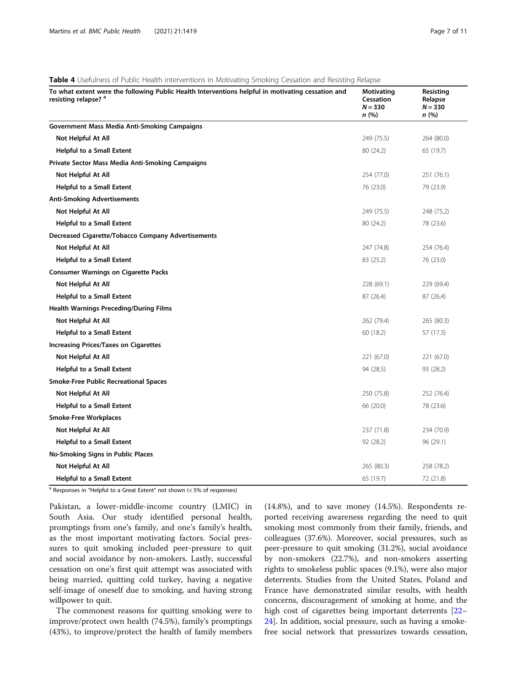| To what extent were the following Public Health Interventions helpful in motivating cessation and<br>resisting relapse? <sup>a</sup> | Motivating<br>Cessation<br>$N = 330$<br>n(%) | Resisting<br>Relapse<br>$N = 330$<br>n(%) |
|--------------------------------------------------------------------------------------------------------------------------------------|----------------------------------------------|-------------------------------------------|
| <b>Government Mass Media Anti-Smoking Campaigns</b>                                                                                  |                                              |                                           |
| Not Helpful At All                                                                                                                   | 249 (75.5)                                   | 264 (80.0)                                |
| <b>Helpful to a Small Extent</b>                                                                                                     | 80 (24.2)                                    | 65 (19.7)                                 |
| Private Sector Mass Media Anti-Smoking Campaigns                                                                                     |                                              |                                           |
| Not Helpful At All                                                                                                                   | 254 (77.0)                                   | 251 (76.1)                                |
| <b>Helpful to a Small Extent</b>                                                                                                     | 76 (23.0)                                    | 79 (23.9)                                 |
| <b>Anti-Smoking Advertisements</b>                                                                                                   |                                              |                                           |
| Not Helpful At All                                                                                                                   | 249 (75.5)                                   | 248 (75.2)                                |
| <b>Helpful to a Small Extent</b>                                                                                                     | 80 (24.2)                                    | 78 (23.6)                                 |
| <b>Decreased Cigarette/Tobacco Company Advertisements</b>                                                                            |                                              |                                           |
| Not Helpful At All                                                                                                                   | 247 (74.8)                                   | 254 (76.4)                                |
| <b>Helpful to a Small Extent</b>                                                                                                     | 83 (25.2)                                    | 76 (23.0)                                 |
| <b>Consumer Warnings on Cigarette Packs</b>                                                                                          |                                              |                                           |
| Not Helpful At All                                                                                                                   | 228 (69.1)                                   | 229 (69.4)                                |
| <b>Helpful to a Small Extent</b>                                                                                                     | 87 (26.4)                                    | 87 (26.4)                                 |
| <b>Health Warnings Preceding/During Films</b>                                                                                        |                                              |                                           |
| Not Helpful At All                                                                                                                   | 262 (79.4)                                   | 265 (80.3)                                |
| <b>Helpful to a Small Extent</b>                                                                                                     | 60 (18.2)                                    | 57 (17.3)                                 |
| <b>Increasing Prices/Taxes on Cigarettes</b>                                                                                         |                                              |                                           |
| Not Helpful At All                                                                                                                   | 221 (67.0)                                   | 221 (67.0)                                |
| <b>Helpful to a Small Extent</b>                                                                                                     | 94 (28.5)                                    | 93 (28.2)                                 |
| <b>Smoke-Free Public Recreational Spaces</b>                                                                                         |                                              |                                           |
| Not Helpful At All                                                                                                                   | 250 (75.8)                                   | 252 (76.4)                                |
| <b>Helpful to a Small Extent</b>                                                                                                     | 66 (20.0)                                    | 78 (23.6)                                 |
| <b>Smoke-Free Workplaces</b>                                                                                                         |                                              |                                           |
| Not Helpful At All                                                                                                                   | 237 (71.8)                                   | 234 (70.9)                                |
| <b>Helpful to a Small Extent</b>                                                                                                     | 92 (28.2)                                    | 96 (29.1)                                 |
| No-Smoking Signs in Public Places                                                                                                    |                                              |                                           |
| Not Helpful At All                                                                                                                   | 265 (80.3)                                   | 258 (78.2)                                |
| <b>Helpful to a Small Extent</b>                                                                                                     | 65 (19.7)                                    | 72 (21.8)                                 |

<span id="page-8-0"></span>Table 4 Usefulness of Public Health interventions in Motivating Smoking Cessation and Resisting Relapse

 $a$  Responses in "Helpful to a Great Extent" not shown (< 5% of responses)

Pakistan, a lower-middle-income country (LMIC) in South Asia. Our study identified personal health, promptings from one's family, and one's family's health, as the most important motivating factors. Social pressures to quit smoking included peer-pressure to quit and social avoidance by non-smokers. Lastly, successful cessation on one's first quit attempt was associated with being married, quitting cold turkey, having a negative self-image of oneself due to smoking, and having strong willpower to quit.

The commonest reasons for quitting smoking were to improve/protect own health (74.5%), family's promptings (43%), to improve/protect the health of family members (14.8%), and to save money (14.5%). Respondents reported receiving awareness regarding the need to quit smoking most commonly from their family, friends, and colleagues (37.6%). Moreover, social pressures, such as peer-pressure to quit smoking (31.2%), social avoidance by non-smokers (22.7%), and non-smokers asserting rights to smokeless public spaces (9.1%), were also major deterrents. Studies from the United States, Poland and France have demonstrated similar results, with health concerns, discouragement of smoking at home, and the high cost of cigarettes being important deterrents [[22](#page-12-0)– [24\]](#page-12-0). In addition, social pressure, such as having a smokefree social network that pressurizes towards cessation,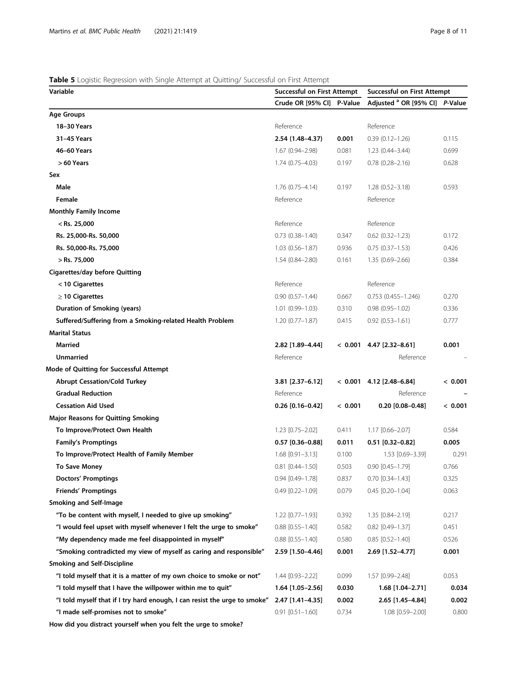## <span id="page-9-0"></span>Table 5 Logistic Regression with Single Attempt at Quitting/ Successful on First Attempt

| Variable                                                                  | <b>Successful on First Attempt</b> |         | <b>Successful on First Attempt</b>        |         |
|---------------------------------------------------------------------------|------------------------------------|---------|-------------------------------------------|---------|
|                                                                           | Crude OR [95% CI] P-Value          |         | Adjusted <sup>a</sup> OR [95% CI] P-Value |         |
| <b>Age Groups</b>                                                         |                                    |         |                                           |         |
| 18-30 Years                                                               | Reference                          |         | Reference                                 |         |
| 31-45 Years                                                               | 2.54 (1.48-4.37)                   | 0.001   | $0.39(0.12 - 1.26)$                       | 0.115   |
| 46-60 Years                                                               | 1.67 (0.94-2.98)                   | 0.081   | $1.23(0.44 - 3.44)$                       | 0.699   |
| > 60 Years                                                                | $1.74(0.75 - 4.03)$                | 0.197   | $0.78(0.28 - 2.16)$                       | 0.628   |
| Sex                                                                       |                                    |         |                                           |         |
| Male                                                                      | $1.76(0.75 - 4.14)$                | 0.197   | $1.28(0.52 - 3.18)$                       | 0.593   |
| Female                                                                    | Reference                          |         | Reference                                 |         |
| <b>Monthly Family Income</b>                                              |                                    |         |                                           |         |
| $<$ Rs. 25,000                                                            | Reference                          |         | Reference                                 |         |
| Rs. 25,000-Rs. 50,000                                                     | $0.73$ $(0.38 - 1.40)$             | 0.347   | $0.62$ $(0.32 - 1.23)$                    | 0.172   |
| Rs. 50,000-Rs. 75,000                                                     | 1.03 (0.56-1.87)                   | 0.936   | $0.75(0.37 - 1.53)$                       | 0.426   |
| $>$ Rs. 75,000                                                            | $1.54(0.84 - 2.80)$                | 0.161   | $1.35(0.69 - 2.66)$                       | 0.384   |
| <b>Cigarettes/day before Quitting</b>                                     |                                    |         |                                           |         |
| < 10 Cigarettes                                                           | Reference                          |         | Reference                                 |         |
| $\geq$ 10 Cigarettes                                                      | $0.90(0.57 - 1.44)$                | 0.667   | $0.753$ $(0.455 - 1.246)$                 | 0.270   |
| Duration of Smoking (years)                                               | $1.01(0.99 - 1.03)$                | 0.310   | $0.98(0.95 - 1.02)$                       | 0.336   |
| Suffered/Suffering from a Smoking-related Health Problem                  | $1.20(0.77 - 1.87)$                | 0.415   | $0.92(0.53 - 1.61)$                       | 0.777   |
| <b>Marital Status</b>                                                     |                                    |         |                                           |         |
| <b>Married</b>                                                            | 2.82 [1.89-4.44]                   |         | $< 0.001$ 4.47 [2.32-8.61]                | 0.001   |
| <b>Unmarried</b>                                                          | Reference                          |         | Reference                                 |         |
| Mode of Quitting for Successful Attempt                                   |                                    |         |                                           |         |
| <b>Abrupt Cessation/Cold Turkey</b>                                       | 3.81 [2.37-6.12]                   |         | $< 0.001$ 4.12 [2.48-6.84]                | < 0.001 |
| <b>Gradual Reduction</b>                                                  | Reference                          |         | Reference                                 |         |
| <b>Cessation Aid Used</b>                                                 | $0.26$ [0.16-0.42]                 | < 0.001 | $0.20$ [0.08-0.48]                        | < 0.001 |
| <b>Major Reasons for Quitting Smoking</b>                                 |                                    |         |                                           |         |
| To Improve/Protect Own Health                                             | 1.23 [0.75-2.02]                   | 0.411   | 1.17 [0.66-2.07]                          | 0.584   |
| <b>Family's Promptings</b>                                                | $0.57$ [0.36-0.88]                 | 0.011   | $0.51$ [0.32-0.82]                        | 0.005   |
| To Improve/Protect Health of Family Member                                | $1.68$ $[0.91 - 3.13]$             | 0.100   | 1.53 [0.69-3.39]                          | 0.291   |
| <b>To Save Money</b>                                                      | $0.81$ $[0.44 - 1.50]$             | 0.503   | $0.90$ $[0.45 - 1.79]$                    | 0.766   |
| <b>Doctors' Promptings</b>                                                | 0.94 [0.49-1.78]                   | 0.837   | $0.70$ $[0.34 - 1.43]$                    | 0.325   |
| <b>Friends' Promptings</b>                                                | 0.49 [0.22-1.09]                   | 0.079   | $0.45$ $[0.20 - 1.04]$                    | 0.063   |
| <b>Smoking and Self-Image</b>                                             |                                    |         |                                           |         |
| "To be content with myself, I needed to give up smoking"                  | 1.22 [0.77-1.93]                   | 0.392   | 1.35 [0.84-2.19]                          | 0.217   |
| "I would feel upset with myself whenever I felt the urge to smoke"        | $0.88$ $[0.55 - 1.40]$             | 0.582   | $0.82$ [0.49-1.37]                        | 0.451   |
| "My dependency made me feel disappointed in myself"                       | $0.88$ $[0.55 - 1.40]$             | 0.580   | $0.85$ [0.52-1.40]                        | 0.526   |
| "Smoking contradicted my view of myself as caring and responsible"        | 2.59 [1.50-4.46]                   | 0.001   | 2.69 [1.52-4.77]                          | 0.001   |
| <b>Smoking and Self-Discipline</b>                                        |                                    |         |                                           |         |
| "I told myself that it is a matter of my own choice to smoke or not"      | 1.44 [0.93-2.22]                   | 0.099   | 1.57 [0.99-2.48]                          | 0.053   |
| "I told myself that I have the willpower within me to quit"               | $1.64$ [1.05-2.56]                 | 0.030   | 1.68 [1.04-2.71]                          | 0.034   |
| "I told myself that if I try hard enough, I can resist the urge to smoke" | 2.47 [1.41-4.35]                   | 0.002   | 2.65 [1.45-4.84]                          | 0.002   |
| "I made self-promises not to smoke"                                       | $0.91$ $[0.51 - 1.60]$             | 0.734   | 1.08 [0.59-2.00]                          | 0.800   |
|                                                                           |                                    |         |                                           |         |

How did you distract yourself when you felt the urge to smoke?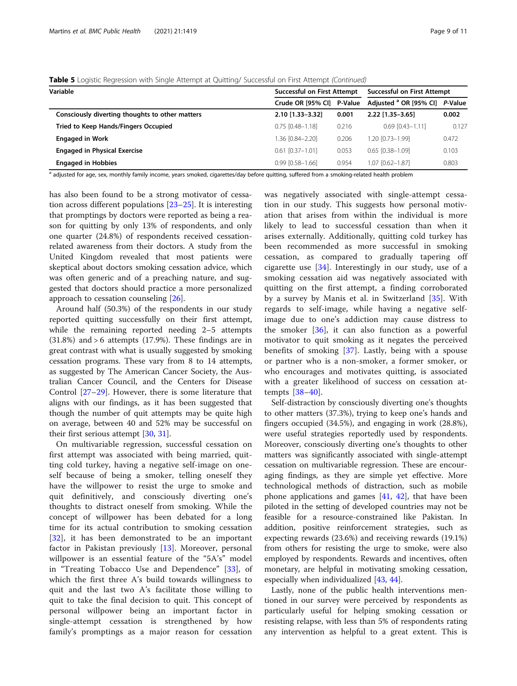|  | Table 5 Logistic Regression with Single Attempt at Quitting/ Successful on First Attempt (Continued) |  |  |  |
|--|------------------------------------------------------------------------------------------------------|--|--|--|
|  |                                                                                                      |  |  |  |

| Variable                                        | <b>Successful on First Attempt</b> | <b>Successful on First Attempt</b> |                                   |         |
|-------------------------------------------------|------------------------------------|------------------------------------|-----------------------------------|---------|
|                                                 | Crude OR [95% CI] P-Value          |                                    | Adjusted <sup>a</sup> OR [95% CI] | P-Value |
| Consciously diverting thoughts to other matters | 2.10 [1.33-3.32]                   | 0.001                              | 2.22 [1.35-3.65]                  | 0.002   |
| <b>Tried to Keep Hands/Fingers Occupied</b>     | $0.75$ $[0.48 - 1.18]$             | 0.216                              | $0.69$ $[0.43 - 1.11]$            | 0.127   |
| <b>Engaged in Work</b>                          | 1.36 [0.84-2.20]                   | 0.206                              | 1.20 [0.73-1.99]                  | 0.472   |
| <b>Engaged in Physical Exercise</b>             | $0.61$ $[0.37 - 1.01]$             | 0.053                              | $0.65$ $[0.38 - 1.09]$            | 0.103   |
| <b>Engaged in Hobbies</b>                       | $0.99$ $[0.58 - 1.66]$             | 0.954                              | 1.07 [0.62-1.87]                  | 0.803   |

a adjusted for age, sex, monthly family income, years smoked, cigarettes/day before quitting, suffered from a smoking-related health problem

has also been found to be a strong motivator of cessation across different populations [\[23](#page-12-0)–[25\]](#page-12-0). It is interesting that promptings by doctors were reported as being a reason for quitting by only 13% of respondents, and only one quarter (24.8%) of respondents received cessationrelated awareness from their doctors. A study from the United Kingdom revealed that most patients were skeptical about doctors smoking cessation advice, which was often generic and of a preaching nature, and suggested that doctors should practice a more personalized approach to cessation counseling [\[26](#page-12-0)].

Around half (50.3%) of the respondents in our study reported quitting successfully on their first attempt, while the remaining reported needing 2–5 attempts (31.8%) and > 6 attempts (17.9%). These findings are in great contrast with what is usually suggested by smoking cessation programs. These vary from 8 to 14 attempts, as suggested by The American Cancer Society, the Australian Cancer Council, and the Centers for Disease Control [\[27](#page-12-0)–[29](#page-12-0)]. However, there is some literature that aligns with our findings, as it has been suggested that though the number of quit attempts may be quite high on average, between 40 and 52% may be successful on their first serious attempt [\[30,](#page-12-0) [31\]](#page-12-0).

On multivariable regression, successful cessation on first attempt was associated with being married, quitting cold turkey, having a negative self-image on oneself because of being a smoker, telling oneself they have the willpower to resist the urge to smoke and quit definitively, and consciously diverting one's thoughts to distract oneself from smoking. While the concept of willpower has been debated for a long time for its actual contribution to smoking cessation [[32\]](#page-12-0), it has been demonstrated to be an important factor in Pakistan previously [[13\]](#page-12-0). Moreover, personal willpower is an essential feature of the "5A's" model in "Treating Tobacco Use and Dependence" [[33\]](#page-12-0), of which the first three A's build towards willingness to quit and the last two A's facilitate those willing to quit to take the final decision to quit. This concept of personal willpower being an important factor in single-attempt cessation is strengthened by how family's promptings as a major reason for cessation was negatively associated with single-attempt cessation in our study. This suggests how personal motivation that arises from within the individual is more likely to lead to successful cessation than when it arises externally. Additionally, quitting cold turkey has been recommended as more successful in smoking cessation, as compared to gradually tapering off cigarette use  $[34]$  $[34]$ . Interestingly in our study, use of a smoking cessation aid was negatively associated with quitting on the first attempt, a finding corroborated by a survey by Manis et al. in Switzerland [\[35](#page-12-0)]. With regards to self-image, while having a negative selfimage due to one's addiction may cause distress to the smoker  $[36]$  $[36]$ , it can also function as a powerful motivator to quit smoking as it negates the perceived benefits of smoking [[37\]](#page-12-0). Lastly, being with a spouse or partner who is a non-smoker, a former smoker, or who encourages and motivates quitting, is associated with a greater likelihood of success on cessation attempts [\[38](#page-12-0)–[40](#page-12-0)].

Self-distraction by consciously diverting one's thoughts to other matters (37.3%), trying to keep one's hands and fingers occupied (34.5%), and engaging in work (28.8%), were useful strategies reportedly used by respondents. Moreover, consciously diverting one's thoughts to other matters was significantly associated with single-attempt cessation on multivariable regression. These are encouraging findings, as they are simple yet effective. More technological methods of distraction, such as mobile phone applications and games [\[41,](#page-12-0) [42](#page-12-0)], that have been piloted in the setting of developed countries may not be feasible for a resource-constrained like Pakistan. In addition, positive reinforcement strategies, such as expecting rewards (23.6%) and receiving rewards (19.1%) from others for resisting the urge to smoke, were also employed by respondents. Rewards and incentives, often monetary, are helpful in motivating smoking cessation, especially when individualized [\[43,](#page-12-0) [44\]](#page-12-0).

Lastly, none of the public health interventions mentioned in our survey were perceived by respondents as particularly useful for helping smoking cessation or resisting relapse, with less than 5% of respondents rating any intervention as helpful to a great extent. This is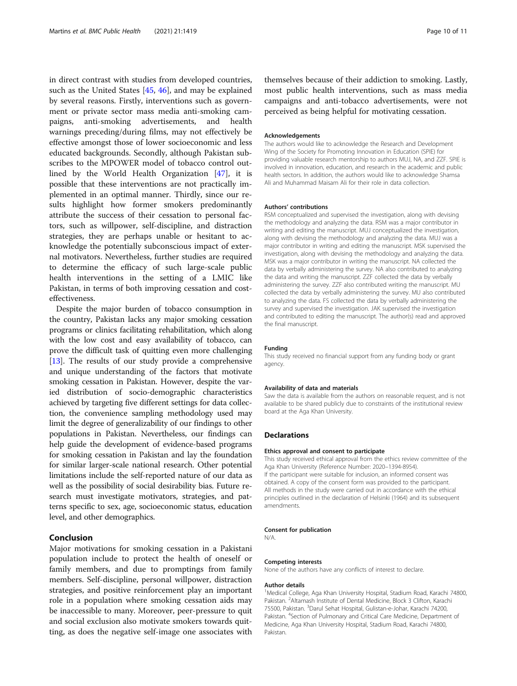in direct contrast with studies from developed countries, such as the United States [\[45](#page-12-0), [46](#page-12-0)], and may be explained by several reasons. Firstly, interventions such as government or private sector mass media anti-smoking campaigns, anti-smoking advertisements, and health warnings preceding/during films, may not effectively be effective amongst those of lower socioeconomic and less educated backgrounds. Secondly, although Pakistan subscribes to the MPOWER model of tobacco control outlined by the World Health Organization [[47\]](#page-12-0), it is possible that these interventions are not practically implemented in an optimal manner. Thirdly, since our results highlight how former smokers predominantly attribute the success of their cessation to personal factors, such as willpower, self-discipline, and distraction strategies, they are perhaps unable or hesitant to acknowledge the potentially subconscious impact of external motivators. Nevertheless, further studies are required to determine the efficacy of such large-scale public health interventions in the setting of a LMIC like Pakistan, in terms of both improving cessation and costeffectiveness.

Despite the major burden of tobacco consumption in the country, Pakistan lacks any major smoking cessation programs or clinics facilitating rehabilitation, which along with the low cost and easy availability of tobacco, can prove the difficult task of quitting even more challenging [[13](#page-12-0)]. The results of our study provide a comprehensive and unique understanding of the factors that motivate smoking cessation in Pakistan. However, despite the varied distribution of socio-demographic characteristics achieved by targeting five different settings for data collection, the convenience sampling methodology used may limit the degree of generalizability of our findings to other populations in Pakistan. Nevertheless, our findings can help guide the development of evidence-based programs for smoking cessation in Pakistan and lay the foundation for similar larger-scale national research. Other potential limitations include the self-reported nature of our data as well as the possibility of social desirability bias. Future research must investigate motivators, strategies, and patterns specific to sex, age, socioeconomic status, education level, and other demographics.

## Conclusion

Major motivations for smoking cessation in a Pakistani population include to protect the health of oneself or family members, and due to promptings from family members. Self-discipline, personal willpower, distraction strategies, and positive reinforcement play an important role in a population where smoking cessation aids may be inaccessible to many. Moreover, peer-pressure to quit and social exclusion also motivate smokers towards quitting, as does the negative self-image one associates with themselves because of their addiction to smoking. Lastly, most public health interventions, such as mass media campaigns and anti-tobacco advertisements, were not perceived as being helpful for motivating cessation.

## Acknowledgements

The authors would like to acknowledge the Research and Development Wing of the Society for Promoting Innovation in Education (SPIE) for providing valuable research mentorship to authors MUJ, NA, and ZZF. SPIE is involved in innovation, education, and research in the academic and public health sectors. In addition, the authors would like to acknowledge Shamsa Ali and Muhammad Maisam Ali for their role in data collection.

#### Authors' contributions

RSM conceptualized and supervised the investigation, along with devising the methodology and analyzing the data. RSM was a major contributor in writing and editing the manuscript. MUJ conceptualized the investigation, along with devising the methodology and analyzing the data. MUJ was a major contributor in writing and editing the manuscript. MSK supervised the investigation, along with devising the methodology and analyzing the data. MSK was a major contributor in writing the manuscript. NA collected the data by verbally administering the survey. NA also contributed to analyzing the data and writing the manuscript. ZZF collected the data by verbally administering the survey. ZZF also contributed writing the manuscript. MU collected the data by verbally administering the survey. MU also contributed to analyzing the data. FS collected the data by verbally administering the survey and supervised the investigation. JAK supervised the investigation and contributed to editing the manuscript. The author(s) read and approved the final manuscript.

#### Funding

This study received no financial support from any funding body or grant agency.

## Availability of data and materials

Saw the data is available from the authors on reasonable request, and is not available to be shared publicly due to constraints of the institutional review board at the Aga Khan University.

## **Declarations**

#### Ethics approval and consent to participate

This study received ethical approval from the ethics review committee of the Aga Khan University (Reference Number: 2020–1394-8954).

If the participant were suitable for inclusion, an informed consent was obtained. A copy of the consent form was provided to the participant. All methods in the study were carried out in accordance with the ethical principles outlined in the declaration of Helsinki (1964) and its subsequent amendments.

## Consent for publication

#### N/A.

Competing interests

None of the authors have any conflicts of interest to declare.

#### Author details

<sup>1</sup> Medical College, Aga Khan University Hospital, Stadium Road, Karachi 74800 Pakistan. <sup>2</sup> Altamash Institute of Dental Medicine, Block 3 Clifton, Karachi 75500, Pakistan. <sup>3</sup>Darul Sehat Hospital, Gulistan-e-Johar, Karachi 74200, Pakistan. <sup>4</sup>Section of Pulmonary and Critical Care Medicine, Department of Medicine, Aga Khan University Hospital, Stadium Road, Karachi 74800, Pakistan.